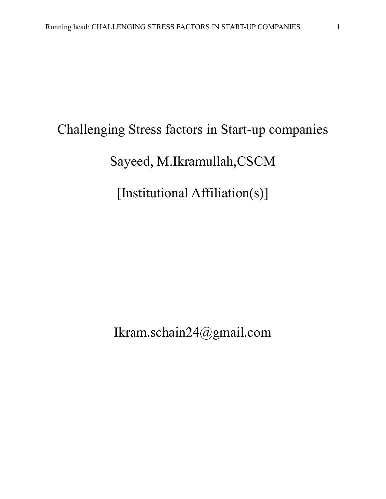# Challenging Stress factors in Start-up companies Sayeed, M.Ikramullah,CSCM [Institutional Affiliation(s)]

Ikram.schain24@gmail.com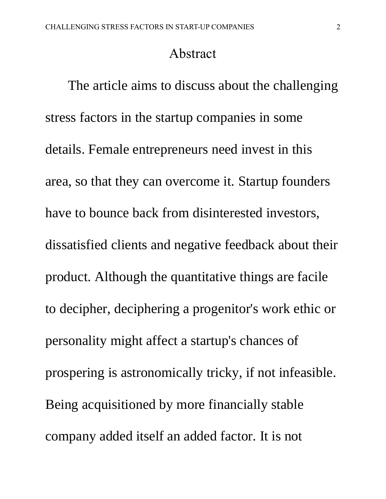#### Abstract

The article aims to discuss about the challenging stress factors in the startup companies in some details. Female entrepreneurs need invest in this area, so that they can overcome it. Startup founders have to bounce back from disinterested investors, dissatisfied clients and negative feedback about their product. Although the quantitative things are facile to decipher, deciphering a progenitor's work ethic or personality might affect a startup's chances of prospering is astronomically tricky, if not infeasible. Being acquisitioned by more financially stable company added itself an added factor. It is not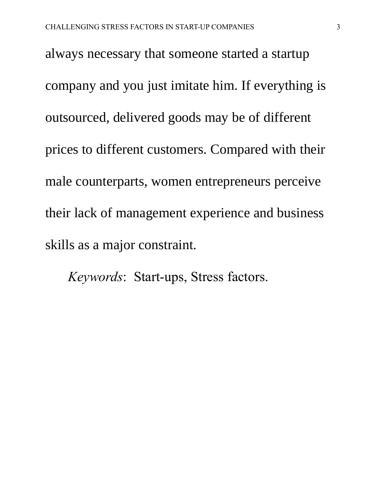always necessary that someone started a startup company and you just imitate him. If everything is outsourced, delivered goods may be of different prices to different customers. Compared with their male counterparts, women entrepreneurs perceive their lack of management experience and business skills as a major constraint.

*Keywords*: Start-ups, Stress factors.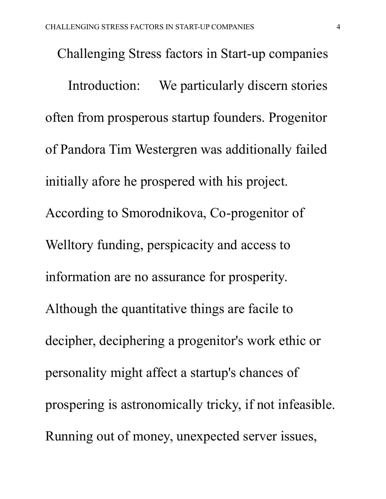Challenging Stress factors in Start-up companies Introduction: We particularly discern stories often from prosperous startup founders. Progenitor of Pandora Tim Westergren was additionally failed initially afore he prospered with his project. According to Smorodnikova, Co-progenitor of Welltory funding, perspicacity and access to information are no assurance for prosperity. Although the quantitative things are facile to decipher, deciphering a progenitor's work ethic or personality might affect a startup's chances of prospering is astronomically tricky, if not infeasible. Running out of money, unexpected server issues,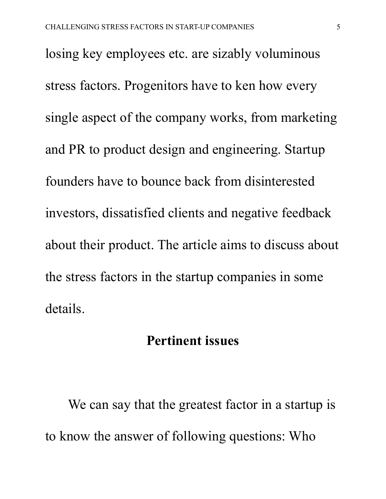losing key employees etc. are sizably voluminous stress factors. Progenitors have to ken how every single aspect of the company works, from marketing and PR to product design and engineering. Startup founders have to bounce back from disinterested investors, dissatisfied clients and negative feedback about their product. The article aims to discuss about the stress factors in the startup companies in some details.

#### **Pertinent issues**

We can say that the greatest factor in a startup is to know the answer of following questions: Who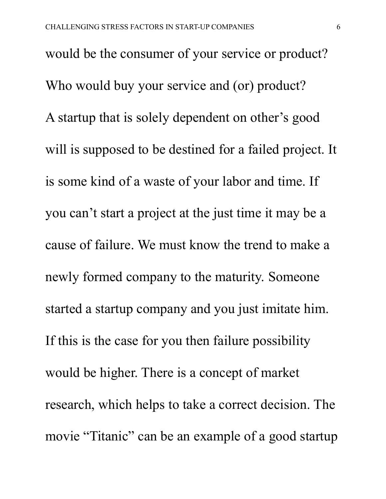would be the consumer of your service or product? Who would buy your service and (or) product? A startup that is solely dependent on other's good will is supposed to be destined for a failed project. It is some kind of a waste of your labor and time. If you can't start a project at the just time it may be a cause of failure. We must know the trend to make a newly formed company to the maturity. Someone started a startup company and you just imitate him. If this is the case for you then failure possibility would be higher. There is a concept of market research, which helps to take a correct decision. The movie "Titanic" can be an example of a good startup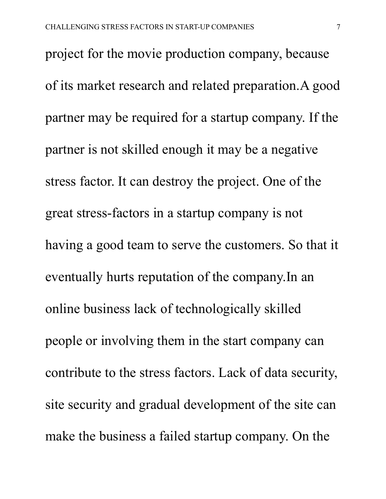project for the movie production company, because of its market research and related preparation.A good partner may be required for a startup company. If the partner is not skilled enough it may be a negative stress factor. It can destroy the project. One of the great stress-factors in a startup company is not having a good team to serve the customers. So that it eventually hurts reputation of the company.In an online business lack of technologically skilled people or involving them in the start company can contribute to the stress factors. Lack of data security, site security and gradual development of the site can make the business a failed startup company. On the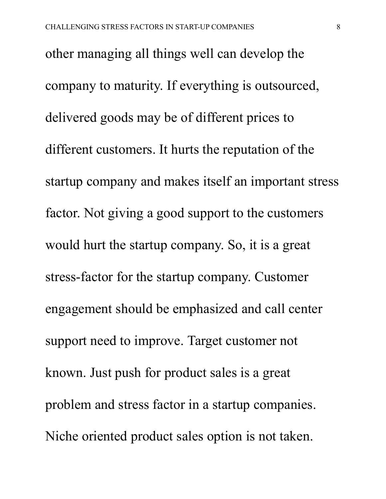other managing all things well can develop the company to maturity. If everything is outsourced, delivered goods may be of different prices to different customers. It hurts the reputation of the startup company and makes itself an important stress factor. Not giving a good support to the customers would hurt the startup company. So, it is a great stress-factor for the startup company. Customer engagement should be emphasized and call center support need to improve. Target customer not known. Just push for product sales is a great problem and stress factor in a startup companies. Niche oriented product sales option is not taken.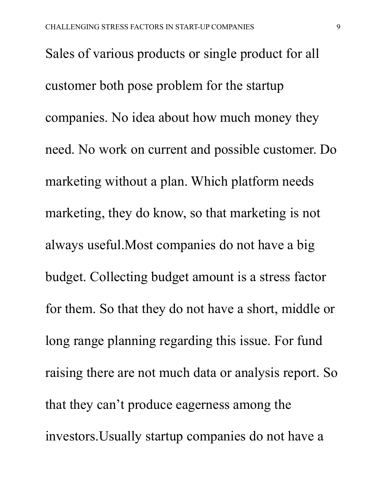Sales of various products or single product for all customer both pose problem for the startup companies. No idea about how much money they need. No work on current and possible customer. Do marketing without a plan. Which platform needs marketing, they do know, so that marketing is not always useful.Most companies do not have a big budget. Collecting budget amount is a stress factor for them. So that they do not have a short, middle or long range planning regarding this issue. For fund raising there are not much data or analysis report. So that they can't produce eagerness among the investors.Usually startup companies do not have a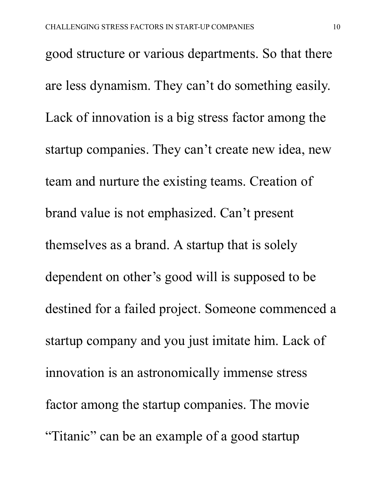good structure or various departments. So that there are less dynamism. They can't do something easily. Lack of innovation is a big stress factor among the startup companies. They can't create new idea, new team and nurture the existing teams. Creation of brand value is not emphasized. Can't present themselves as a brand. A startup that is solely dependent on other's good will is supposed to be destined for a failed project. Someone commenced a startup company and you just imitate him. Lack of innovation is an astronomically immense stress factor among the startup companies. The movie "Titanic" can be an example of a good startup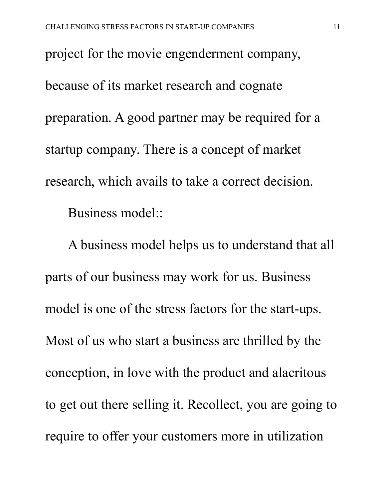project for the movie engenderment company, because of its market research and cognate preparation. A good partner may be required for a startup company. There is a concept of market research, which avails to take a correct decision. Business model::

A business model helps us to understand that all parts of our business may work for us. Business model is one of the stress factors for the start-ups. Most of us who start a business are thrilled by the conception, in love with the product and alacritous to get out there selling it. Recollect, you are going to require to offer your customers more in utilization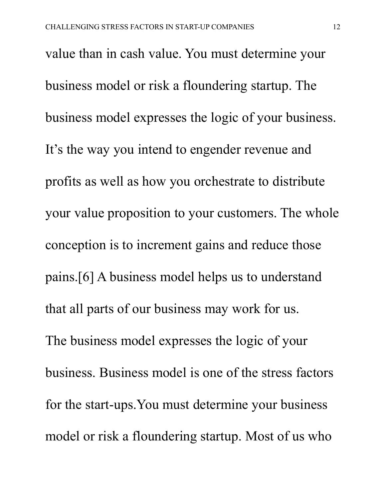value than in cash value. You must determine your business model or risk a floundering startup. The business model expresses the logic of your business. It's the way you intend to engender revenue and profits as well as how you orchestrate to distribute your value proposition to your customers. The whole conception is to increment gains and reduce those pains.[6] A business model helps us to understand that all parts of our business may work for us. The business model expresses the logic of your business. Business model is one of the stress factors for the start-ups.You must determine your business model or risk a floundering startup. Most of us who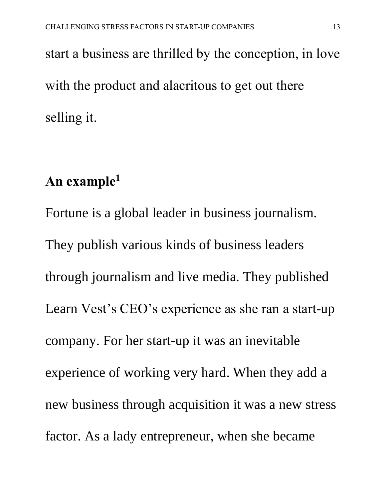start a business are thrilled by the conception, in love with the product and alacritous to get out there selling it.

## **An example<sup>1</sup>**

Fortune is a global leader in business journalism. They publish various kinds of business leaders through journalism and live media. They published Learn Vest's CEO's experience as she ran a start-up company. For her start-up it was an inevitable experience of working very hard. When they add a new business through acquisition it was a new stress factor. As a lady entrepreneur, when she became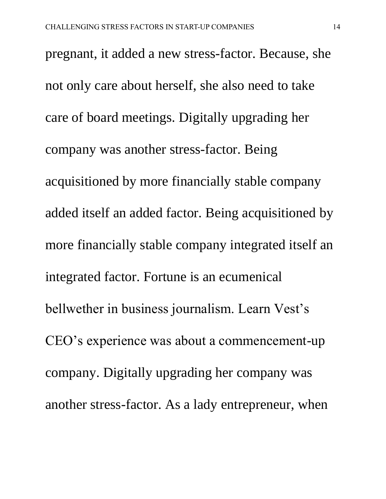pregnant, it added a new stress-factor. Because, she not only care about herself, she also need to take care of board meetings. Digitally upgrading her company was another stress-factor. Being acquisitioned by more financially stable company added itself an added factor. Being acquisitioned by more financially stable company integrated itself an integrated factor. Fortune is an ecumenical bellwether in business journalism. Learn Vest's CEO's experience was about a commencement-up company. Digitally upgrading her company was another stress-factor. As a lady entrepreneur, when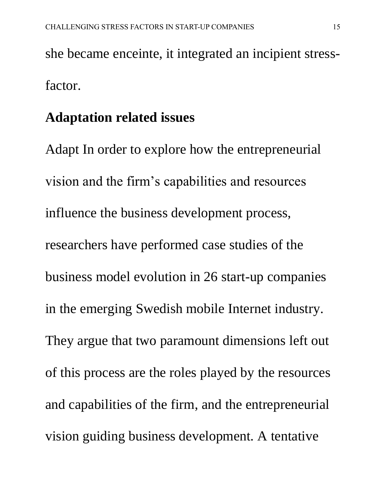she became enceinte, it integrated an incipient stressfactor.

#### **Adaptation related issues**

Adapt In order to explore how the entrepreneurial vision and the firm's capabilities and resources influence the business development process, researchers have performed case studies of the business model evolution in 26 start-up companies in the emerging Swedish mobile Internet industry. They argue that two paramount dimensions left out of this process are the roles played by the resources and capabilities of the firm, and the entrepreneurial vision guiding business development. A tentative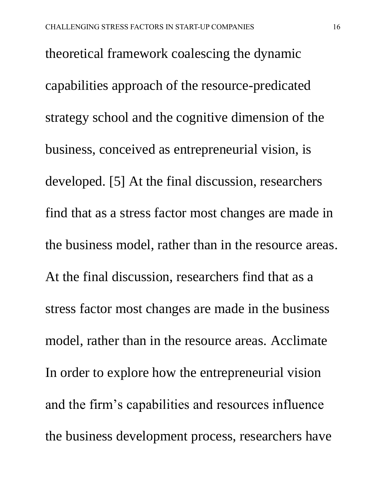theoretical framework coalescing the dynamic capabilities approach of the resource-predicated strategy school and the cognitive dimension of the business, conceived as entrepreneurial vision, is developed. [5] At the final discussion, researchers find that as a stress factor most changes are made in the business model, rather than in the resource areas. At the final discussion, researchers find that as a stress factor most changes are made in the business model, rather than in the resource areas. Acclimate In order to explore how the entrepreneurial vision and the firm's capabilities and resources influence the business development process, researchers have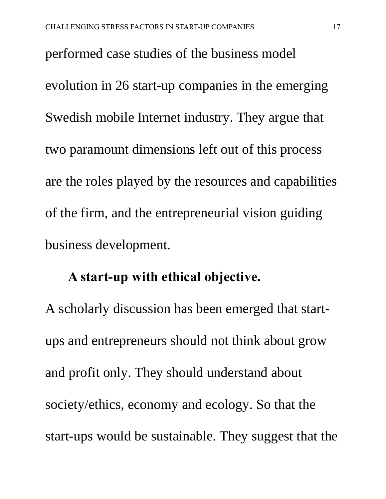performed case studies of the business model evolution in 26 start-up companies in the emerging Swedish mobile Internet industry. They argue that two paramount dimensions left out of this process are the roles played by the resources and capabilities of the firm, and the entrepreneurial vision guiding business development.

#### **A start-up with ethical objective.**

A scholarly discussion has been emerged that startups and entrepreneurs should not think about grow and profit only. They should understand about society/ethics, economy and ecology. So that the start-ups would be sustainable. They suggest that the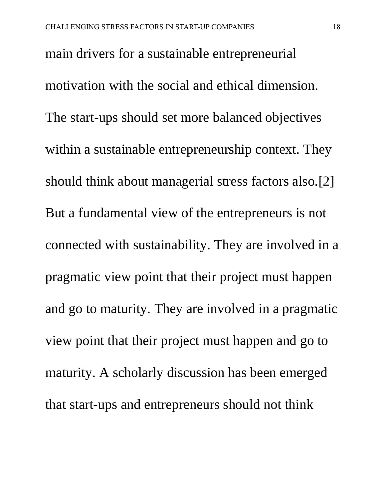main drivers for a sustainable entrepreneurial motivation with the social and ethical dimension. The start-ups should set more balanced objectives within a sustainable entrepreneurship context. They should think about managerial stress factors also.[2] But a fundamental view of the entrepreneurs is not connected with sustainability. They are involved in a pragmatic view point that their project must happen and go to maturity. They are involved in a pragmatic view point that their project must happen and go to maturity. A scholarly discussion has been emerged that start-ups and entrepreneurs should not think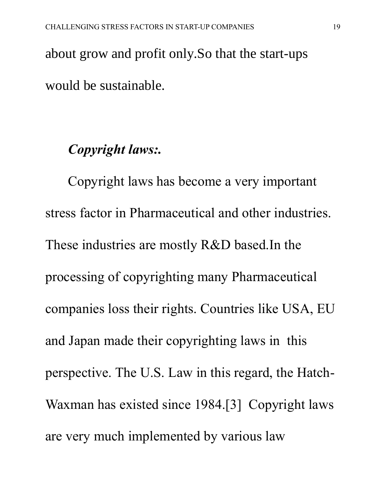about grow and profit only.So that the start-ups would be sustainable.

#### *Copyright laws:.*

Copyright laws has become a very important stress factor in Pharmaceutical and other industries. These industries are mostly R&D based.In the processing of copyrighting many Pharmaceutical companies loss their rights. Countries like USA, EU and Japan made their copyrighting laws in this perspective. The U.S. Law in this regard, the Hatch-Waxman has existed since 1984.[3] Copyright laws are very much implemented by various law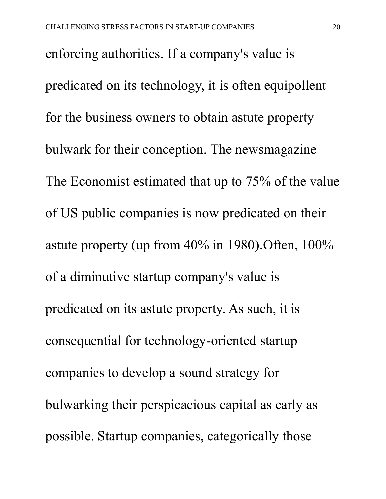enforcing authorities. If a company's value is predicated on its technology, it is often equipollent for the business owners to obtain astute property bulwark for their conception. The newsmagazine The Economist estimated that up to 75% of the value of US public companies is now predicated on their astute property (up from 40% in 1980).Often, 100% of a diminutive startup company's value is predicated on its astute property. As such, it is consequential for technology-oriented startup companies to develop a sound strategy for bulwarking their perspicacious capital as early as possible. Startup companies, categorically those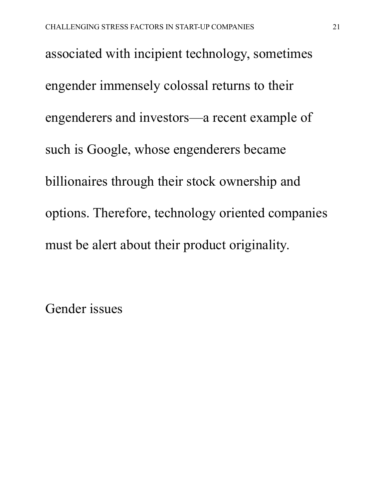associated with incipient technology, sometimes engender immensely colossal returns to their engenderers and investors—a recent example of such is Google, whose engenderers became billionaires through their stock ownership and options. Therefore, technology oriented companies must be alert about their product originality.

Gender issues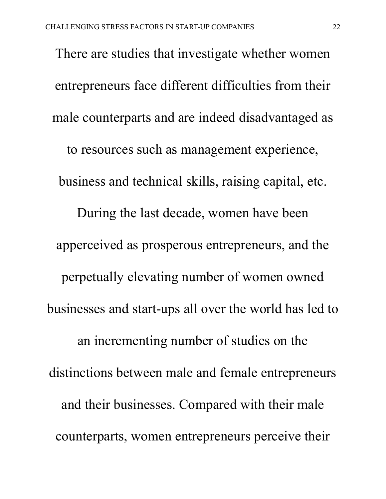There are studies that investigate whether women entrepreneurs face different difficulties from their male counterparts and are indeed disadvantaged as to resources such as management experience, business and technical skills, raising capital, etc. During the last decade, women have been apperceived as prosperous entrepreneurs, and the perpetually elevating number of women owned businesses and start-ups all over the world has led to an incrementing number of studies on the distinctions between male and female entrepreneurs and their businesses. Compared with their male counterparts, women entrepreneurs perceive their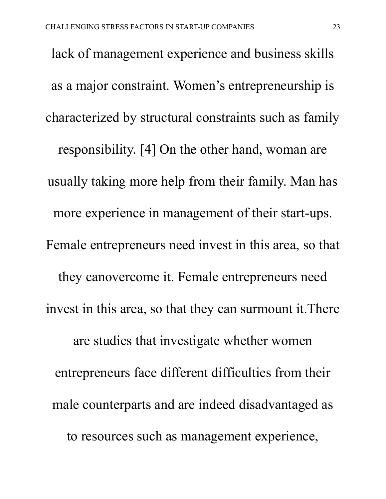lack of management experience and business skills as a major constraint. Women's entrepreneurship is characterized by structural constraints such as family responsibility. [4] On the other hand, woman are usually taking more help from their family. Man has more experience in management of their start-ups. Female entrepreneurs need invest in this area, so that they canovercome it. Female entrepreneurs need invest in this area, so that they can surmount it.There are studies that investigate whether women entrepreneurs face different difficulties from their male counterparts and are indeed disadvantaged as to resources such as management experience,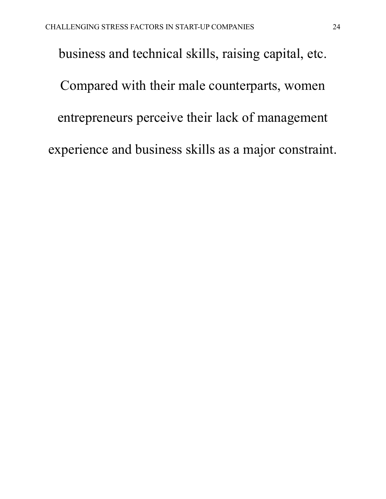business and technical skills, raising capital, etc. Compared with their male counterparts, women entrepreneurs perceive their lack of management experience and business skills as a major constraint.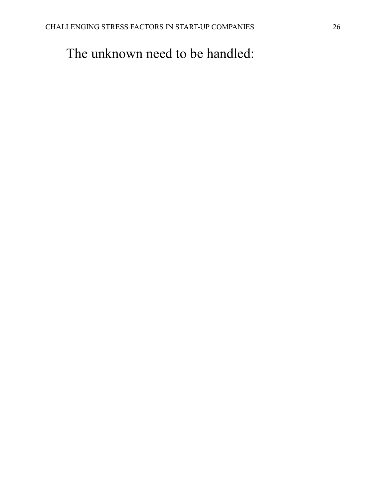## The unknown need to be handled: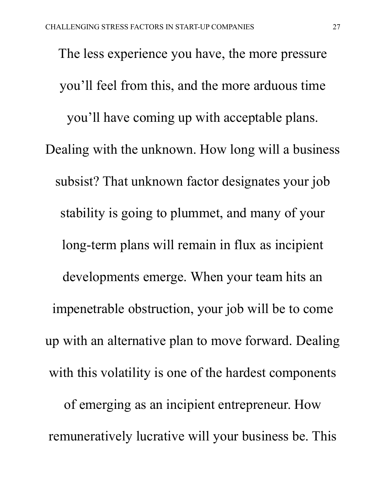The less experience you have, the more pressure you'll feel from this, and the more arduous time you'll have coming up with acceptable plans. Dealing with the unknown. How long will a business subsist? That unknown factor designates your job stability is going to plummet, and many of your long-term plans will remain in flux as incipient developments emerge. When your team hits an impenetrable obstruction, your job will be to come up with an alternative plan to move forward. Dealing with this volatility is one of the hardest components of emerging as an incipient entrepreneur. How remuneratively lucrative will your business be. This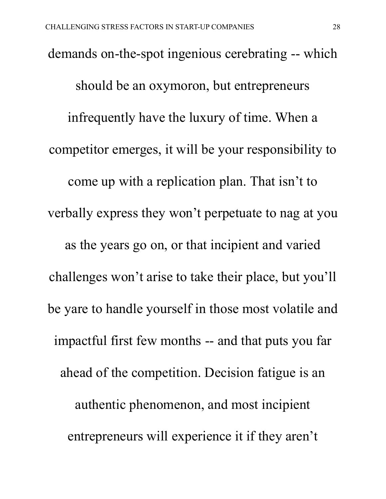demands on-the-spot ingenious cerebrating -- which should be an oxymoron, but entrepreneurs infrequently have the luxury of time. When a competitor emerges, it will be your responsibility to come up with a replication plan. That isn't to verbally express they won't perpetuate to nag at you as the years go on, or that incipient and varied challenges won't arise to take their place, but you'll be yare to handle yourself in those most volatile and impactful first few months -- and that puts you far ahead of the competition. Decision fatigue is an authentic phenomenon, and most incipient entrepreneurs will experience it if they aren't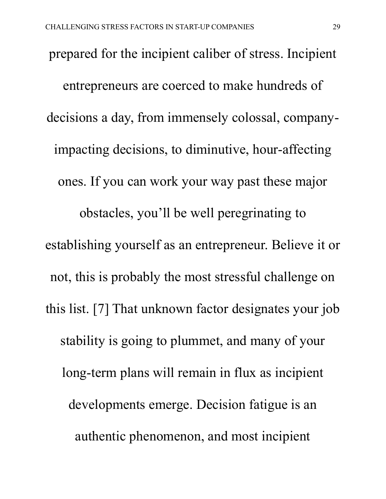prepared for the incipient caliber of stress. Incipient entrepreneurs are coerced to make hundreds of decisions a day, from immensely colossal, companyimpacting decisions, to diminutive, hour-affecting ones. If you can work your way past these major obstacles, you'll be well peregrinating to establishing yourself as an entrepreneur. Believe it or not, this is probably the most stressful challenge on this list. [7] That unknown factor designates your job stability is going to plummet, and many of your long-term plans will remain in flux as incipient developments emerge. Decision fatigue is an authentic phenomenon, and most incipient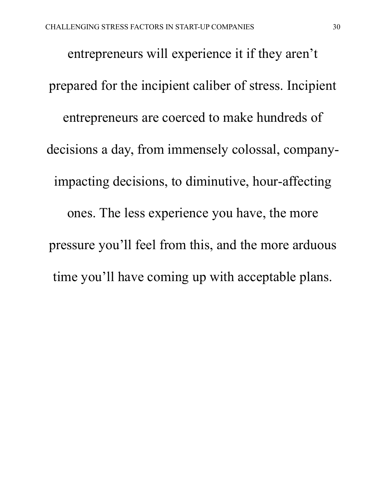entrepreneurs will experience it if they aren't prepared for the incipient caliber of stress. Incipient entrepreneurs are coerced to make hundreds of decisions a day, from immensely colossal, companyimpacting decisions, to diminutive, hour-affecting ones. The less experience you have, the more pressure you'll feel from this, and the more arduous time you'll have coming up with acceptable plans.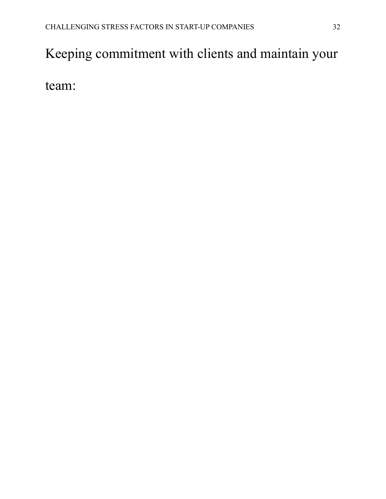# Keeping commitment with clients and maintain your

team: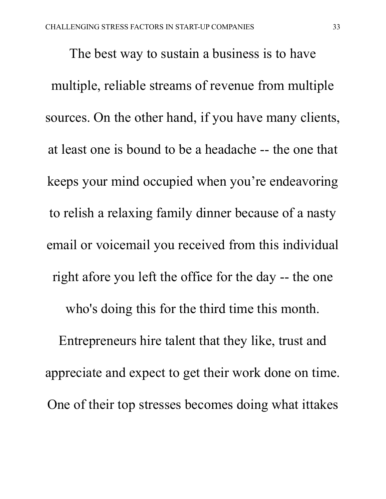The best way to sustain a business is to have multiple, reliable streams of revenue from multiple sources. On the other hand, if you have many clients, at least one is bound to be a headache -- the one that keeps your mind occupied when you're endeavoring to relish a relaxing family dinner because of a nasty email or voicemail you received from this individual right afore you left the office for the day -- the one who's doing this for the third time this month. Entrepreneurs hire talent that they like, trust and appreciate and expect to get their work done on time. One of their top stresses becomes doing what ittakes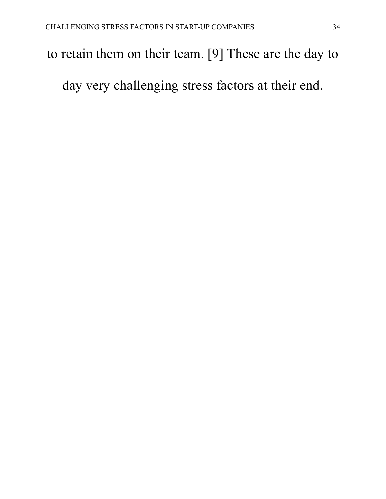### to retain them on their team. [9] These are the day to

day very challenging stress factors at their end.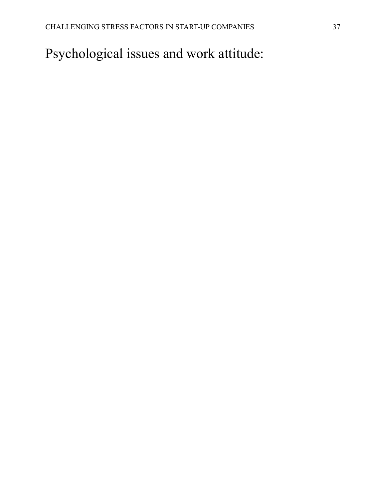Psychological issues and work attitude: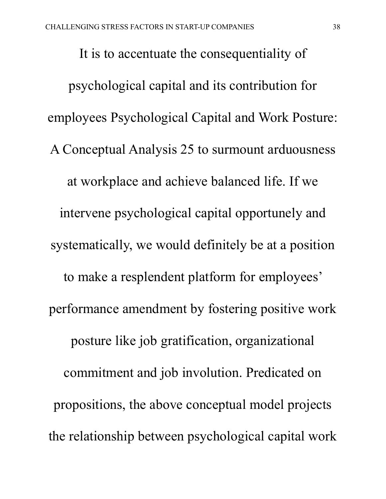It is to accentuate the consequentiality of psychological capital and its contribution for employees Psychological Capital and Work Posture: A Conceptual Analysis 25 to surmount arduousness at workplace and achieve balanced life. If we intervene psychological capital opportunely and systematically, we would definitely be at a position to make a resplendent platform for employees' performance amendment by fostering positive work posture like job gratification, organizational commitment and job involution. Predicated on propositions, the above conceptual model projects the relationship between psychological capital work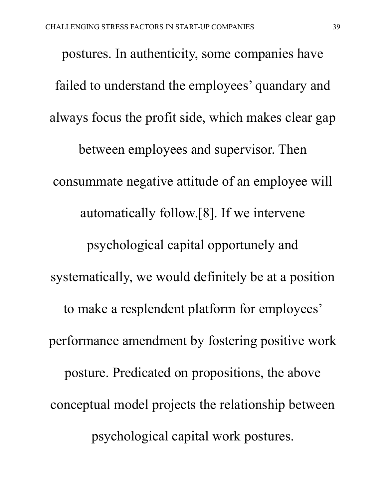postures. In authenticity, some companies have failed to understand the employees' quandary and always focus the profit side, which makes clear gap between employees and supervisor. Then consummate negative attitude of an employee will automatically follow.[8]. If we intervene psychological capital opportunely and systematically, we would definitely be at a position to make a resplendent platform for employees' performance amendment by fostering positive work posture. Predicated on propositions, the above conceptual model projects the relationship between psychological capital work postures.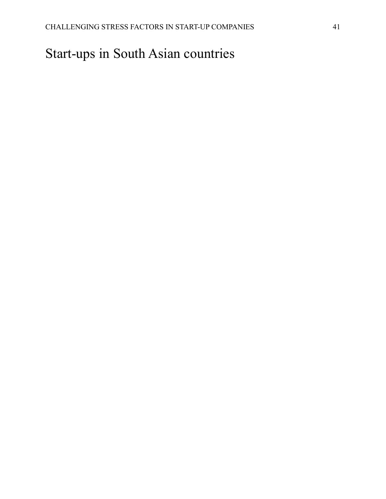# Start-ups in South Asian countries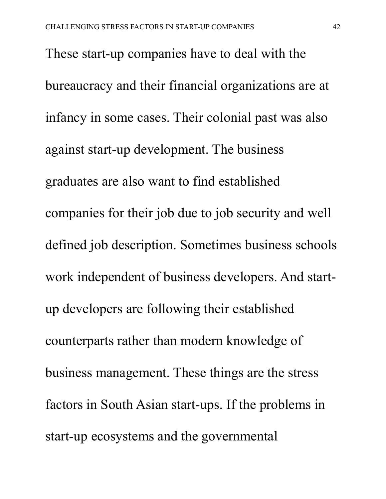These start-up companies have to deal with the bureaucracy and their financial organizations are at infancy in some cases. Their colonial past was also against start-up development. The business graduates are also want to find established companies for their job due to job security and well defined job description. Sometimes business schools work independent of business developers. And startup developers are following their established counterparts rather than modern knowledge of business management. These things are the stress factors in South Asian start-ups. If the problems in start-up ecosystems and the governmental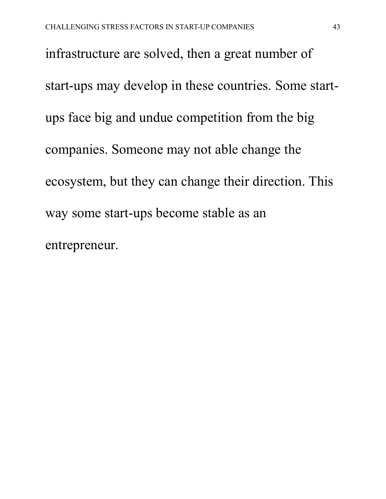infrastructure are solved, then a great number of start-ups may develop in these countries. Some startups face big and undue competition from the big companies. Someone may not able change the ecosystem, but they can change their direction. This way some start-ups become stable as an entrepreneur.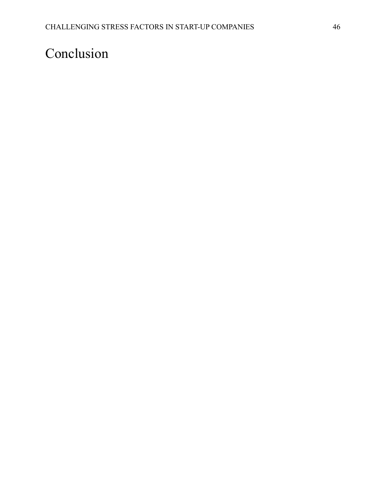# Conclusion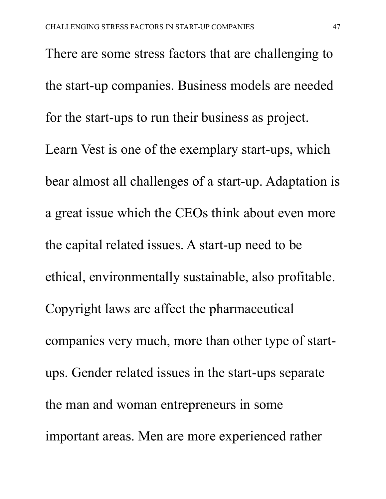There are some stress factors that are challenging to the start-up companies. Business models are needed for the start-ups to run their business as project. Learn Vest is one of the exemplary start-ups, which bear almost all challenges of a start-up. Adaptation is a great issue which the CEOs think about even more the capital related issues. A start-up need to be ethical, environmentally sustainable, also profitable. Copyright laws are affect the pharmaceutical companies very much, more than other type of startups. Gender related issues in the start-ups separate the man and woman entrepreneurs in some important areas. Men are more experienced rather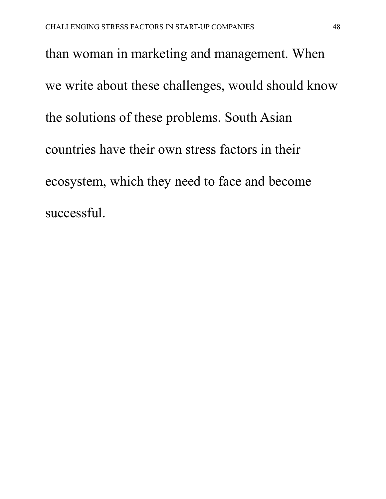than woman in marketing and management. When we write about these challenges, would should know the solutions of these problems. South Asian countries have their own stress factors in their ecosystem, which they need to face and become successful.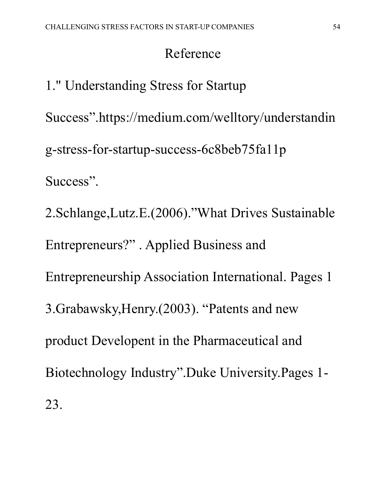## Reference

1." Understanding Stress for Startup Success".https://medium.com/welltory/understandin g-stress-for-startup-success-6c8beb75fa11p Success". 2.Schlange,Lutz.E.(2006)."What Drives Sustainable Entrepreneurs?" . Applied Business and Entrepreneurship Association International. Pages 1 3.Grabawsky,Henry.(2003). "Patents and new product Developent in the Pharmaceutical and Biotechnology Industry".Duke University.Pages 1- 23.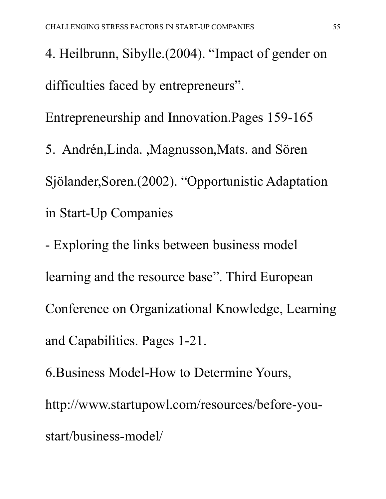4. Heilbrunn, Sibylle.(2004). "Impact of gender on difficulties faced by entrepreneurs".

Entrepreneurship and Innovation.Pages 159-165

5. Andrén,Linda. ,Magnusson,Mats. and Sören Sjölander,Soren.(2002). "Opportunistic Adaptation in Start-Up Companies

- Exploring the links between business model learning and the resource base". Third European Conference on Organizational Knowledge, Learning and Capabilities. Pages 1-21.

6.Business Model-How to Determine Yours, http://www.startupowl.com/resources/before-youstart/business-model/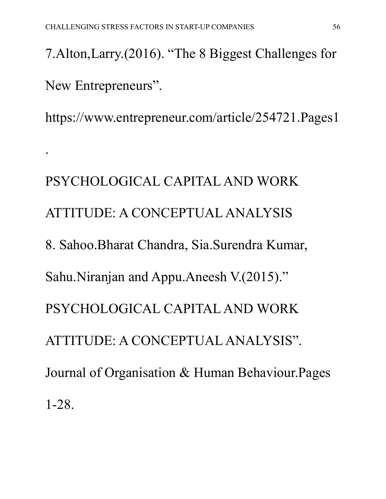.

7.Alton,Larry.(2016). "The 8 Biggest Challenges for New Entrepreneurs".

https://www.entrepreneur.com/article/254721.Pages1

PSYCHOLOGICAL CAPITAL AND WORK ATTITUDE: A CONCEPTUAL ANALYSIS 8. Sahoo.Bharat Chandra, Sia.Surendra Kumar, Sahu.Niranjan and Appu.Aneesh V.(2015)." PSYCHOLOGICAL CAPITAL AND WORK ATTITUDE: A CONCEPTUAL ANALYSIS". Journal of Organisation & Human Behaviour.Pages 1-28.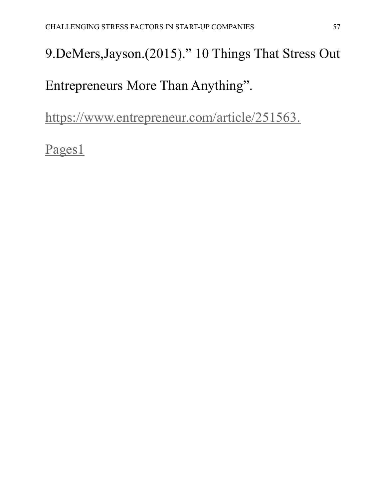# 9.DeMers,Jayson.(2015)." 10 Things That Stress Out

Entrepreneurs More Than Anything".

[https://www.entrepreneur.com/article/251563.](https://www.entrepreneur.com/article/251563.%20Pages1) 

[Pages1](https://www.entrepreneur.com/article/251563.%20Pages1)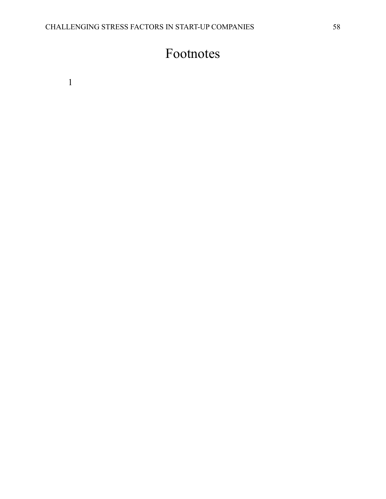## Footnotes

1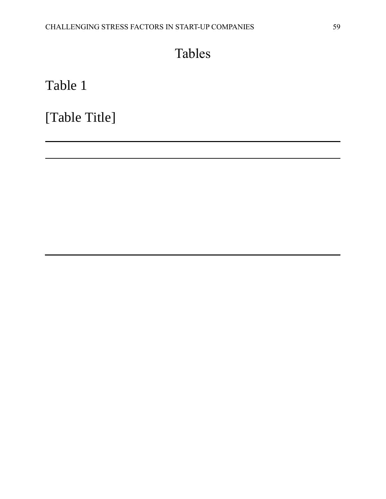## Tables

Table 1

[Table Title]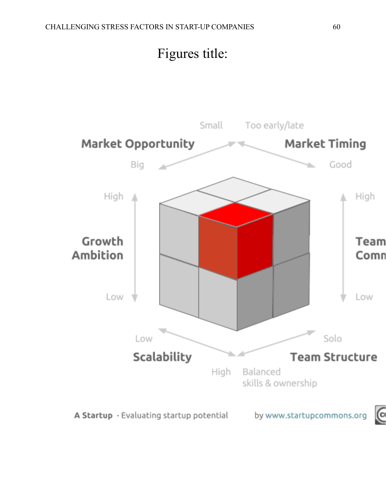

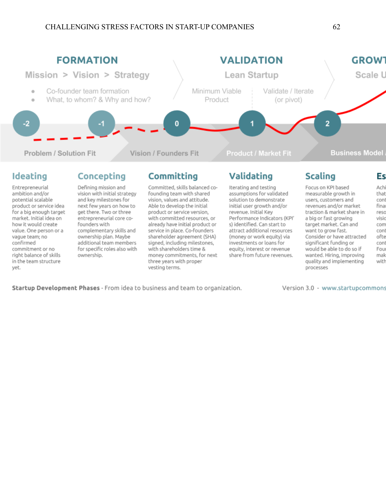

with committed resources, or

already have initial product or

service in place. Co-founders

shareholder agreement (SHA)

signed, including milestones,

money commitments, for next

with shareholders time &

three years with proper

vesting terms.

Performance Indicators (KPI'

attract additional resources

(money or work equity) via

equity, interest or revenue

share from future revenues.

investments or loans for

s) identified. Can start to

Startup Development Phases - From idea to business and team to organization.

entrepreneurial core co-

complementary skills and

additional team members

for specific roles also with

ownership plan. Maybe

founders with

ownership.

market. Initial idea on

value. One person or a

how it would create

commitment or no

right balance of skills

in the team structure

vaque team; no

confirmed

yet.

Version 3.0 - www.startupcommons

a big or fast growing

want to grow fast.

processes

target market. Can and

significant funding or

would be able to do so if

wanted. Hiring, improving

quality and implementing

Consider or have attracted

visio

com

conl

ofte

conl

Fou

mak

with